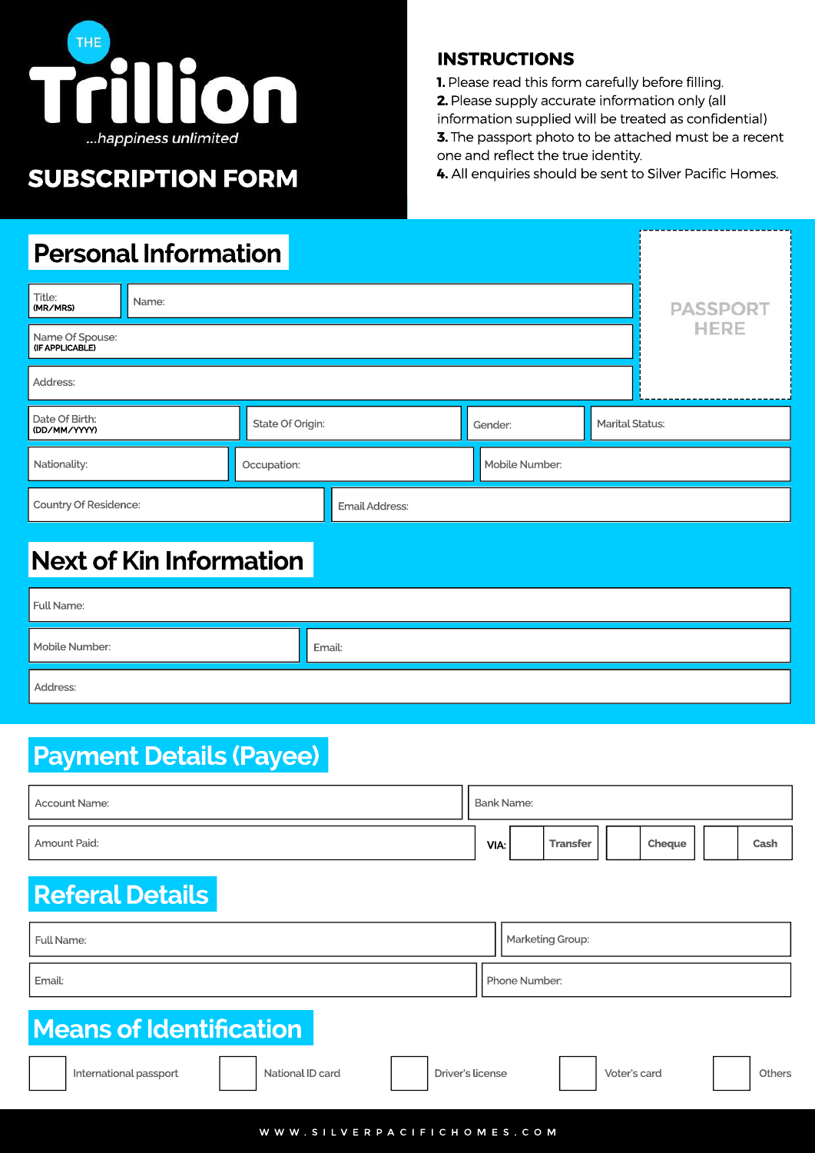

# **SUBSCRIPTION FORM**

#### **INSTRUCTIONS**

one and reflect the true identity.

**1.** Please read this form carefully before filling.

**2.** Please supply accurate information only (all

information supplied will be treated as confidential) **3.** The passport photo to be attached must be a recent

4. All enquiries should be sent to Silver Pacific Homes.

# **Personal Information**

| Title:<br>(MR/MRS)                 | Name: | <b>PASSPORT</b>  |                       |                |                        |      |
|------------------------------------|-------|------------------|-----------------------|----------------|------------------------|------|
| Name Of Spouse:<br>(IF APPLICABLE) |       |                  |                       |                |                        | HERE |
| Address:                           |       |                  |                       |                |                        |      |
| Date Of Birth:<br>(DD/MM/YYYY)     |       | State Of Origin: |                       | Gender:        | <b>Marital Status:</b> |      |
| Nationality:                       |       | Occupation:      |                       | Mobile Number: |                        |      |
| Country Of Residence:              |       |                  | <b>Email Address:</b> |                |                        |      |

# **Next of Kin Information**

| Full Name:     |        |
|----------------|--------|
| Mobile Number: | Email: |
| Address:       |        |

# **Payment Details (Payee)**

| <b>Account Name:</b> |  |      | Bank Name: |          |  |        |  |      |  |
|----------------------|--|------|------------|----------|--|--------|--|------|--|
| Amount Paid:         |  | VIA: |            | Transfer |  | Cheque |  | Cash |  |

# **Referal Details**

| Full Name: | Marketing Group: |
|------------|------------------|
| Email:     | Phone Number:    |

# **Means of Identification**

| International passport | National ID card | Driver's license | Voter's card | <b>Others</b> |
|------------------------|------------------|------------------|--------------|---------------|
|                        |                  |                  |              |               |
|                        |                  |                  |              |               |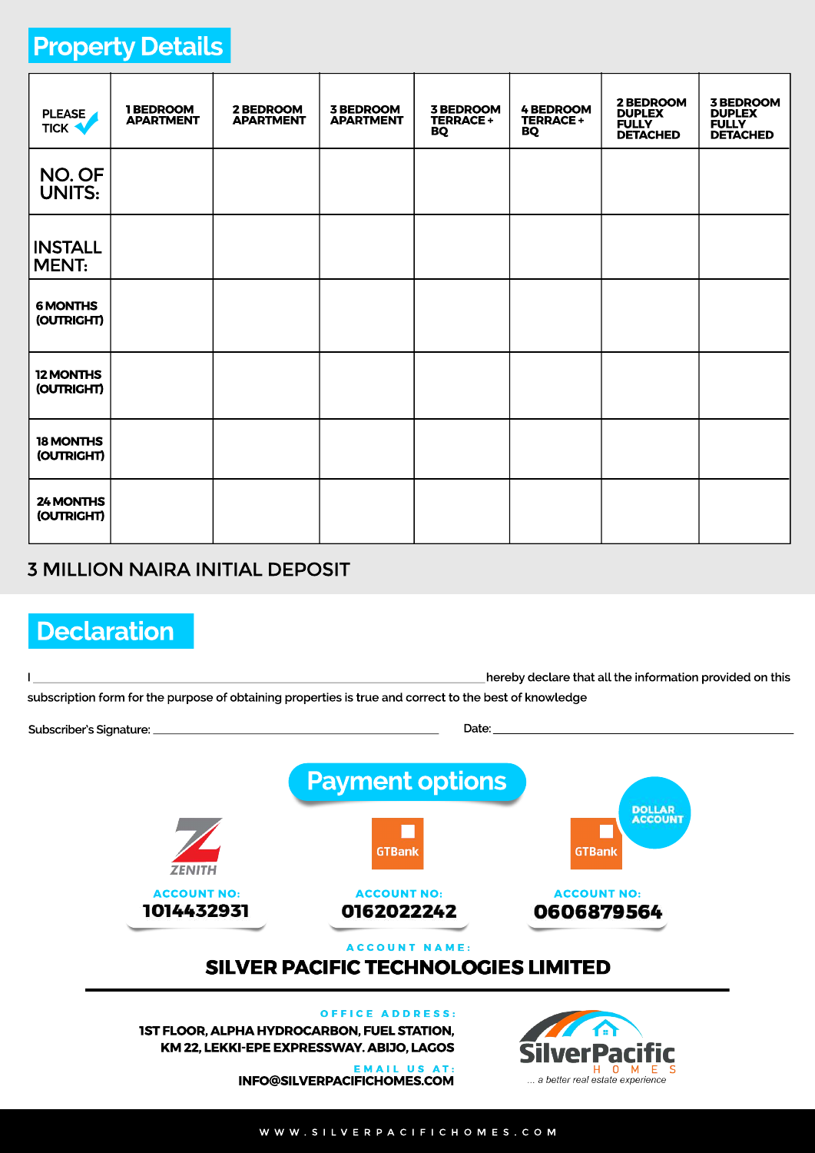# **Property Details**

| <b>PLEASE</b><br><b>TICK V</b> | 1 BEDROOM<br><b>APARTMENT</b> | 2 BEDROOM<br><b>APARTMENT</b> | <b>3 BEDROOM</b><br><b>APARTMENT</b> | <b>3 BEDROOM</b><br><b>TERRACE +</b><br>BQ | <b>4 BEDROOM</b><br>TERRACE +<br>BQ | 2 BEDROOM<br><b>DUPLEX</b><br><b>FULLY</b><br><b>DETACHED</b> | <b>3 BEDROOM</b><br><b>DUPLEX</b><br><b>FULLY</b><br><b>DETACHED</b> |
|--------------------------------|-------------------------------|-------------------------------|--------------------------------------|--------------------------------------------|-------------------------------------|---------------------------------------------------------------|----------------------------------------------------------------------|
| NO. OF<br><b>UNITS:</b>        |                               |                               |                                      |                                            |                                     |                                                               |                                                                      |
| <b>INSTALL</b><br><b>MENT:</b> |                               |                               |                                      |                                            |                                     |                                                               |                                                                      |
| <b>6 MONTHS</b><br>(OUTRIGHT)  |                               |                               |                                      |                                            |                                     |                                                               |                                                                      |
| <b>12 MONTHS</b><br>(OUTRIGHT) |                               |                               |                                      |                                            |                                     |                                                               |                                                                      |
| 18 MONTHS<br>(OUTRIGHT)        |                               |                               |                                      |                                            |                                     |                                                               |                                                                      |
| 24 MONTHS<br>(OUTRIGHT)        |                               |                               |                                      |                                            |                                     |                                                               |                                                                      |

## **3 MILLION NAIRA INITIAL DEPOSIT**

# **Declaration**

|  |                                                                                                        |                                                                                                                                                                                 | hereby declare that all the information provided on this |  |  |  |  |
|--|--------------------------------------------------------------------------------------------------------|---------------------------------------------------------------------------------------------------------------------------------------------------------------------------------|----------------------------------------------------------|--|--|--|--|
|  | subscription form for the purpose of obtaining properties is true and correct to the best of knowledge |                                                                                                                                                                                 |                                                          |  |  |  |  |
|  |                                                                                                        | Date                                                                                                                                                                            |                                                          |  |  |  |  |
|  |                                                                                                        | <b>Payment options</b>                                                                                                                                                          | <b>DOLLAR</b>                                            |  |  |  |  |
|  | <b>ZENITH</b>                                                                                          | <b>GTBank</b>                                                                                                                                                                   | <b>ACCOUNT</b><br><b>GTBank</b>                          |  |  |  |  |
|  | <b>ACCOUNT NO:</b><br>1014432931                                                                       | <b>ACCOUNT NO:</b><br>0162022242                                                                                                                                                | <b>ACCOUNT NO:</b><br>0606879564                         |  |  |  |  |
|  |                                                                                                        | <b>ACCOUNT NAME:</b><br><b>SILVER PACIFIC TECHNOLOGIES LIMITED</b>                                                                                                              |                                                          |  |  |  |  |
|  |                                                                                                        | <b>OFFICE ADDRESS:</b><br><b>1ST FLOOR, ALPHA HYDROCARBON, FUEL STATION,</b><br>KM 22, LEKKI-EPE EXPRESSWAY. ABIJO, LAGOS<br><b>EMAIL US AT:</b><br>INFO@SILVERPACIFICHOMES.COM | a better real estate experience                          |  |  |  |  |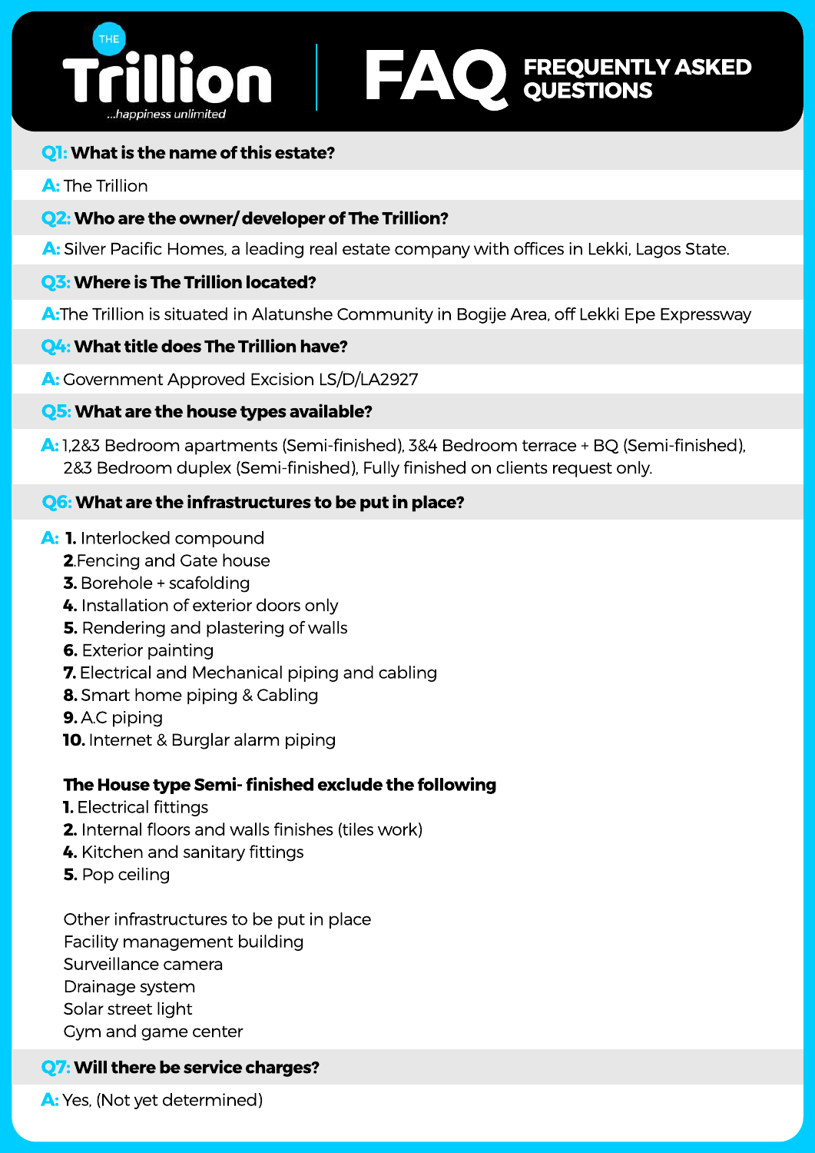# **FAQ** FREQUENTLY ASKED **QUESTIONS**

## **Q1:** What is the name of this estate?

## **A:** The Trillion

## **Q2:** Who are the owner/developer of The Trillion?

A: Silver Pacific Homes, a leading real estate company with offices in Lekki, Lagos State.

## **Q3: Where is The Trillion located?**

**A:**The Trillion is situated in Alatunshe Community in Bogije Area, off Lekki Epe Expressway

## **Q4: What title does The Trillion have?**

**A:** Government Approved Excision LS/D/LA2927

#### **Q5:** What are the house types available?

A: 1,2&3 Bedroom apartments (Semi-finished), 3&4 Bedroom terrace + BQ (Semi-finished), 2&3 Bedroom duplex (Semi-finished), Fully finished on clients request only.

## **Q6:** What are the infrastructures to be put in place?

#### A: 1. Interlocked compound

- **2**. Fencing and Gate house
- **3.** Borehole + scafolding
- **4.** Installation of exterior doors only
- **5.** Rendering and plastering of walls
- **6.** Exterior painting
- **7.** Electrical and Mechanical piping and cabling
- **8.** Smart home piping & Cabling
- **9.** A.C piping
- **10.** Internet & Burglar alarm piping

## **The House type Semi-finished exclude the following**

- **1.** Electrical fittings
- **2.** Internal floors and walls finishes (tiles work)
- 4. Kitchen and sanitary fittings
- **5.** Pop ceiling

Other infrastructures to be put in place Facility management building Surveillance camera Drainage system Solar street light Gym and game center

## **Q7: Will there be service charges?**

A: Yes, (Not yet determined)